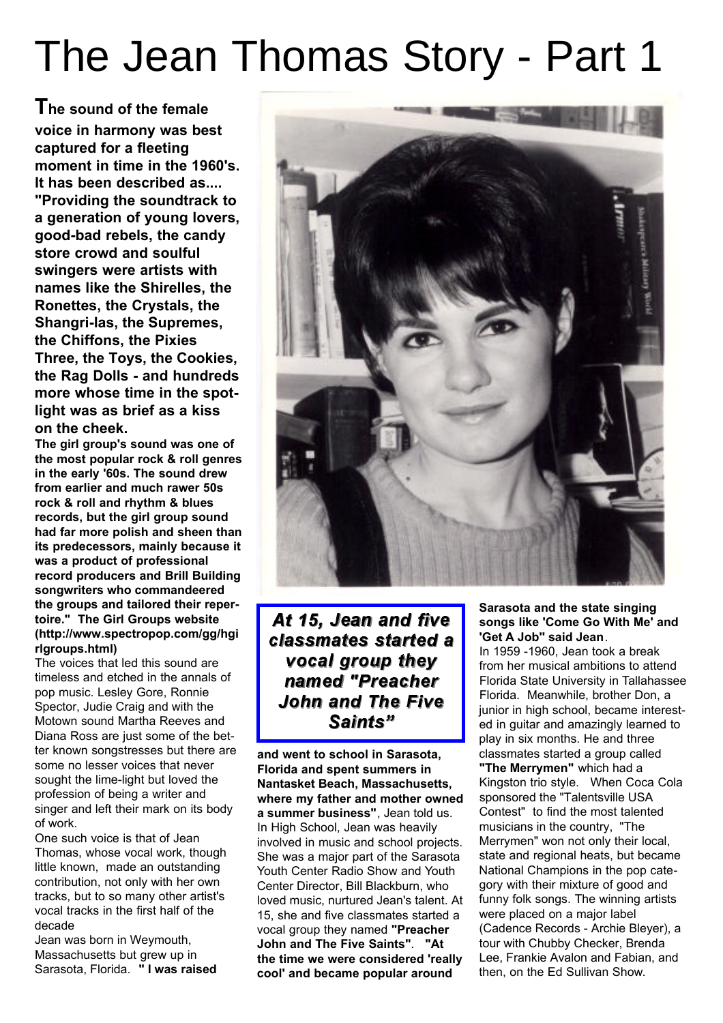## The Jean Thomas Story - Part 1

**The sound of the female voice in harmony was best captured for a fleeting moment in time in the 1960's. It has been described as.... "Providing the soundtrack to a generation of young lovers, good-bad rebels, the candy store crowd and soulful swingers were artists with names like the Shirelles, the Ronettes, the Crystals, the Shangri-las, the Supremes, the Chiffons, the Pixies Three, the Toys, the Cookies, the Rag Dolls - and hundreds more whose time in the spotlight was as brief as a kiss on the cheek.**

**The girl group's sound was one of the most popular rock & roll genres in the early '60s. The sound drew from earlier and much rawer 50s rock & roll and rhythm & blues records, but the girl group sound had far more polish and sheen than its predecessors, mainly because it was a product of professional record producers and Brill Building songwriters who commandeered the groups and tailored their repertoire." The Girl Groups website (http://www.spectropop.com/gg/hgi rlgroups.html)**

The voices that led this sound are timeless and etched in the annals of pop music. Lesley Gore, Ronnie Spector, Judie Craig and with the Motown sound Martha Reeves and Diana Ross are just some of the better known songstresses but there are some no lesser voices that never sought the lime-light but loved the profession of being a writer and singer and left their mark on its body of work.

One such voice is that of Jean Thomas, whose vocal work, though little known, made an outstanding contribution, not only with her own tracks, but to so many other artist's vocal tracks in the first half of the decade

Jean was born in Weymouth, Massachusetts but grew up in Sarasota, Florida. **" I was raised**



At 15, Jean and five classmates started a vocal group they named "Preacher **John and The Five** Saints"

**and went to school in Sarasota, Florida and spent summers in Nantasket Beach, Massachusetts, where my father and mother owned a summer business"**, Jean told us. In High School, Jean was heavily involved in music and school projects. She was a major part of the Sarasota Youth Center Radio Show and Youth Center Director, Bill Blackburn, who loved music, nurtured Jean's talent. At 15, she and five classmates started a vocal group they named **"Preacher John and The Five Saints"**. **"At the time we were considered 'really cool' and became popular around**

## **Sarasota and the state singing songs like 'Come Go With Me' and 'Get A Job'' said Jean**.

In 1959 -1960, Jean took a break from her musical ambitions to attend Florida State University in Tallahassee Florida. Meanwhile, brother Don, a junior in high school, became interested in guitar and amazingly learned to play in six months. He and three classmates started a group called **"The Merrymen"** which had a Kingston trio style. When Coca Cola sponsored the "Talentsville USA Contest" to find the most talented musicians in the country, "The Merrymen" won not only their local, state and regional heats, but became National Champions in the pop category with their mixture of good and funny folk songs. The winning artists were placed on a major label (Cadence Records - Archie Bleyer), a tour with Chubby Checker, Brenda Lee, Frankie Avalon and Fabian, and then, on the Ed Sullivan Show.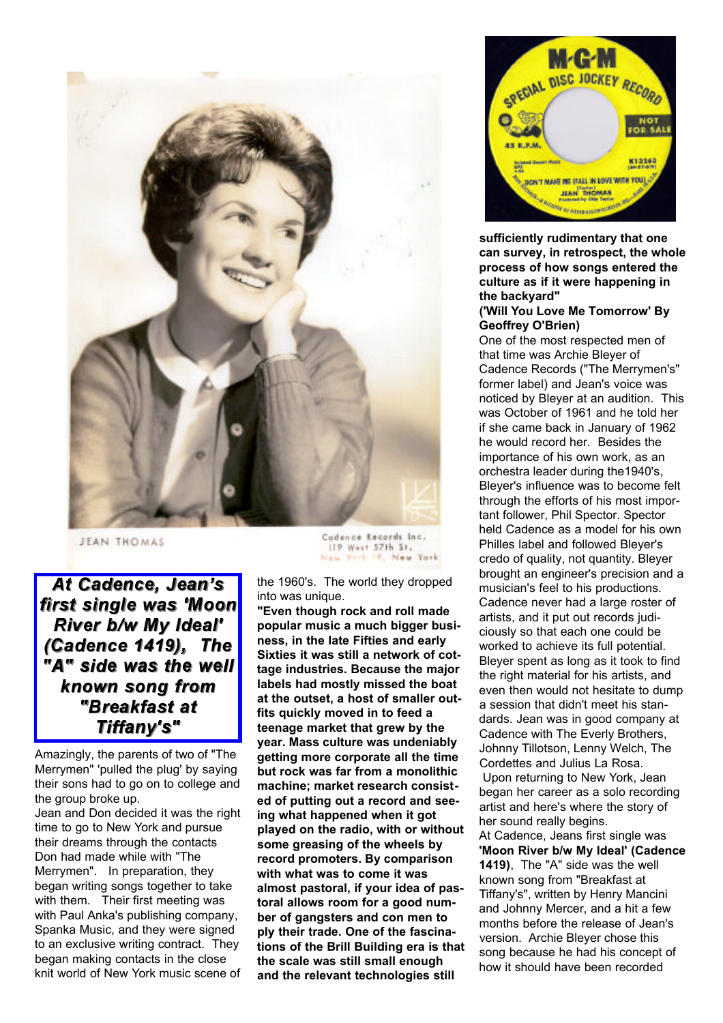

**JEAN THOMAS** 

At Cadence, Jean's first single was 'Moon River b/w My Ideal' (Cadence 1419), The "A" side was the well known song from "Breakfast at Tiffany's"

Amazingly, the parents of two of "The Merrymen" 'pulled the plug' by saying their sons had to go on to college and the group broke up.

Jean and Don decided it was the right time to go to New York and pursue their dreams through the contacts Don had made while with "The Merrymen". In preparation, they began writing songs together to take with them. Their first meeting was with Paul Anka's publishing company, Spanka Music, and they were signed to an exclusive writing contract. They began making contacts in the close knit world of New York music scene of

Cadence Records Inc. 119 West 57th St. New York 10, New York

the 1960's. The world they dropped into was unique.

**"Even though rock and roll made popular music a much bigger business, in the late Fifties and early Sixties it was still a network of cottage industries. Because the major labels had mostly missed the boat at the outset, a host of smaller outfits quickly moved in to feed a teenage market that grew by the year. Mass culture was undeniably getting more corporate all the time but rock was far from a monolithic machine; market research consisted of putting out a record and seeing what happened when it got played on the radio, with or without some greasing of the wheels by record promoters. By comparison with what was to come it was almost pastoral, if your idea of pastoral allows room for a good number of gangsters and con men to ply their trade. One of the fascinations of the Brill Building era is that the scale was still small enough and the relevant technologies still**



**sufficiently rudimentary that one can survey, in retrospect, the whole process of how songs entered the culture as if it were happening in the backyard"**

## **('Will You Love Me Tomorrow' By Geoffrey O'Brien)**

One of the most respected men of that time was Archie Bleyer of Cadence Records ("The Merrymen's" former label) and Jean's voice was noticed by Bleyer at an audition. This was October of 1961 and he told her if she came back in January of 1962 he would record her. Besides the importance of his own work, as an orchestra leader during the1940's, Bleyer's influence was to become felt through the efforts of his most important follower, Phil Spector. Spector held Cadence as a model for his own Philles label and followed Bleyer's credo of quality, not quantity. Bleyer brought an engineer's precision and a musician's feel to his productions. Cadence never had a large roster of artists, and it put out records judiciously so that each one could be worked to achieve its full potential. Bleyer spent as long as it took to find the right material for his artists, and even then would not hesitate to dump a session that didn't meet his standards. Jean was in good company at Cadence with The Everly Brothers, Johnny Tillotson, Lenny Welch, The Cordettes and Julius La Rosa. Upon returning to New York, Jean began her career as a solo recording artist and here's where the story of her sound really begins.

At Cadence, Jeans first single was **'Moon River b/w My Ideal' (Cadence 1419)**, The "A" side was the well known song from "Breakfast at Tiffany's", written by Henry Mancini and Johnny Mercer, and a hit a few months before the release of Jean's version. Archie Bleyer chose this song because he had his concept of how it should have been recorded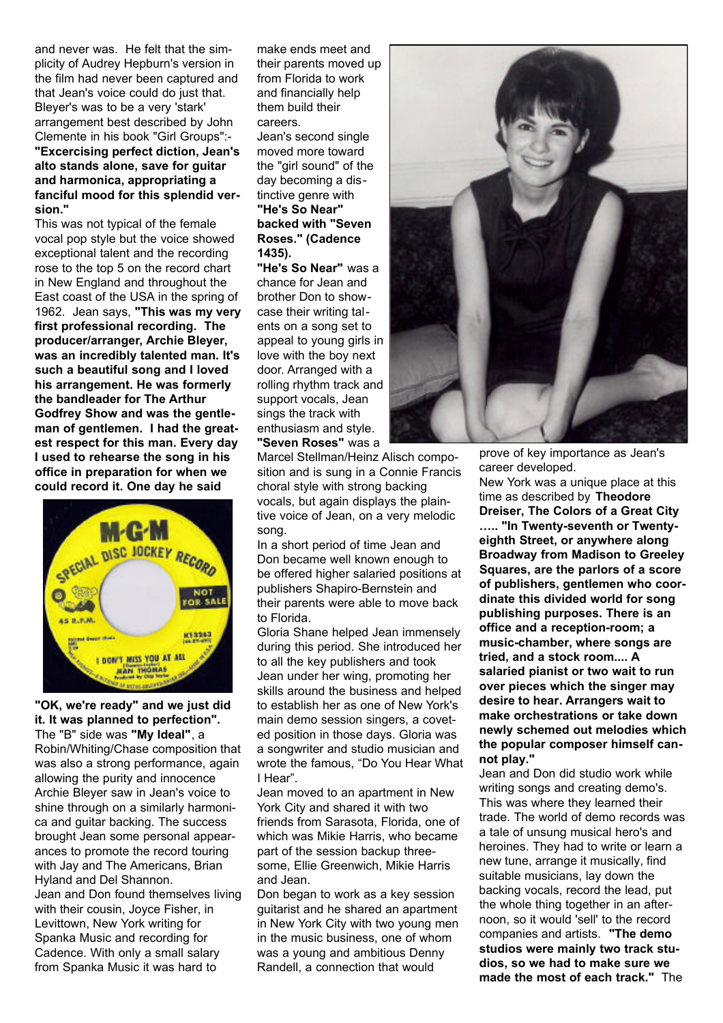and never was. He felt that the simplicity of Audrey Hepburn's version in the film had never been captured and that Jean's voice could do just that. Bleyer's was to be a very 'stark' arrangement best described by John Clemente in his book "Girl Groups":- **"Excercising perfect diction, Jean's alto stands alone, save for guitar and harmonica, appropriating a fanciful mood for this splendid version."**

This was not typical of the female vocal pop style but the voice showed exceptional talent and the recording rose to the top 5 on the record chart in New England and throughout the East coast of the USA in the spring of 1962. Jean says, **"This was my very first professional recording. The producer/arranger, Archie Bleyer, was an incredibly talented man. It's such a beautiful song and I loved his arrangement. He was formerly the bandleader for The Arthur Godfrey Show and was the gentleman of gentlemen. I had the greatest respect for this man. Every day I used to rehearse the song in his office in preparation for when we could record it. One day he said**



**"OK, we're ready" and we just did it. It was planned to perfection".**  The "B" side was **"My Ideal"**, a Robin/Whiting/Chase composition that was also a strong performance, again allowing the purity and innocence Archie Bleyer saw in Jean's voice to shine through on a similarly harmonica and guitar backing. The success brought Jean some personal appearances to promote the record touring with Jay and The Americans, Brian Hyland and Del Shannon. Jean and Don found themselves living with their cousin, Joyce Fisher, in Levittown, New York writing for Spanka Music and recording for Cadence. With only a small salary from Spanka Music it was hard to

make ends meet and their parents moved up from Florida to work and financially help them build their careers.

Jean's second single moved more toward the "girl sound" of the day becoming a distinctive genre with **"He's So Near" backed with "Seven Roses." (Cadence 1435).**

**"He's So Near"** was a chance for Jean and brother Don to showcase their writing talents on a song set to appeal to young girls in love with the boy next door. Arranged with a rolling rhythm track and support vocals, Jean sings the track with enthusiasm and style. **"Seven Roses"** was a

Marcel Stellman/Heinz Alisch composition and is sung in a Connie Francis choral style with strong backing vocals, but again displays the plaintive voice of Jean, on a very melodic song.

In a short period of time Jean and Don became well known enough to be offered higher salaried positions at publishers Shapiro-Bernstein and their parents were able to move back to Florida.

Gloria Shane helped Jean immensely during this period. She introduced her to all the key publishers and took Jean under her wing, promoting her skills around the business and helped to establish her as one of New York's main demo session singers, a coveted position in those days. Gloria was a songwriter and studio musician and wrote the famous, "Do You Hear What I Hear".

Jean moved to an apartment in New York City and shared it with two friends from Sarasota, Florida, one of which was Mikie Harris, who became part of the session backup threesome, Ellie Greenwich, Mikie Harris and Jean.

Don began to work as a key session guitarist and he shared an apartment in New York City with two young men in the music business, one of whom was a young and ambitious Denny Randell, a connection that would



prove of key importance as Jean's career developed.

New York was a unique place at this time as described by **Theodore Dreiser, The Colors of a Great City ….. "In Twenty-seventh or Twentyeighth Street, or anywhere along Broadway from Madison to Greeley Squares, are the parlors of a score of publishers, gentlemen who coordinate this divided world for song publishing purposes. There is an office and a reception-room; a music-chamber, where songs are tried, and a stock room.... A salaried pianist or two wait to run over pieces which the singer may desire to hear. Arrangers wait to make orchestrations or take down newly schemed out melodies which the popular composer himself cannot play."** 

Jean and Don did studio work while writing songs and creating demo's. This was where they learned their trade. The world of demo records was a tale of unsung musical hero's and heroines. They had to write or learn a new tune, arrange it musically, find suitable musicians, lay down the backing vocals, record the lead, put the whole thing together in an afternoon, so it would 'sell' to the record companies and artists. **"The demo studios were mainly two track studios, so we had to make sure we made the most of each track."** The